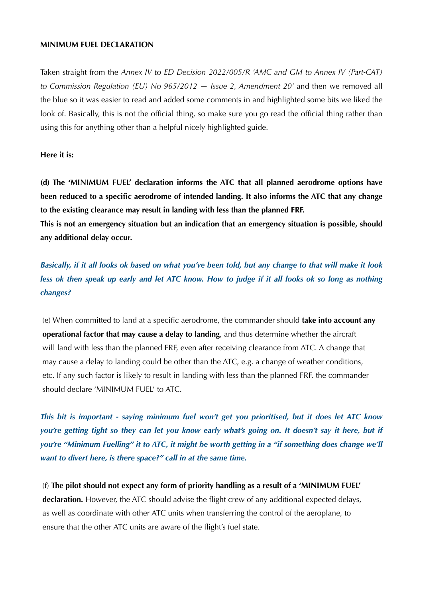## **MINIMUM FUEL DECLARATION**

Taken straight from the *Annex IV to ED Decision 2022/005/R 'AMC and GM to Annex IV (Part-CAT) to Commission Regulation (EU) No 965/2012 - Issue 2, Amendment 20'* and then we removed all the blue so it was easier to read and added some comments in and highlighted some bits we liked the look of. Basically, this is not the official thing, so make sure you go read the official thing rather than using this for anything other than a helpful nicely highlighted guide.

## **Here it is:**

**(d) The 'MINIMUM FUEL' declaration informs the ATC that all planned aerodrome options have been reduced to a specific aerodrome of intended landing. It also informs the ATC that any change to the existing clearance may result in landing with less than the planned FRF.** 

**This is not an emergency situation but an indication that an emergency situation is possible, should any additional delay occur.**

*Basically, if it all looks ok based on what you've been told, but any change to that will make it look less ok then speak up early and let ATC know. How to judge if it all looks ok so long as nothing changes?*

 (e) When committed to land at a specific aerodrome, the commander should **take into account any operational factor that may cause a delay to landing**, and thus determine whether the aircraft will land with less than the planned FRF, even after receiving clearance from ATC. A change that may cause a delay to landing could be other than the ATC, e.g. a change of weather conditions, etc. If any such factor is likely to result in landing with less than the planned FRF, the commander should declare 'MINIMUM FUEL' to ATC.

*This bit is important - saying minimum fuel won't get you prioritised, but it does let ATC know you're getting tight so they can let you know early what's going on. It doesn't say it here, but if you're "Minimum Fuelling" it to ATC, it might be worth getting in a "if something does change we'll want to divert here, is there space?" call in at the same time.*

 (f) **The pilot should not expect any form of priority handling as a result of a 'MINIMUM FUEL' declaration.** However, the ATC should advise the flight crew of any additional expected delays, as well as coordinate with other ATC units when transferring the control of the aeroplane, to ensure that the other ATC units are aware of the flight's fuel state.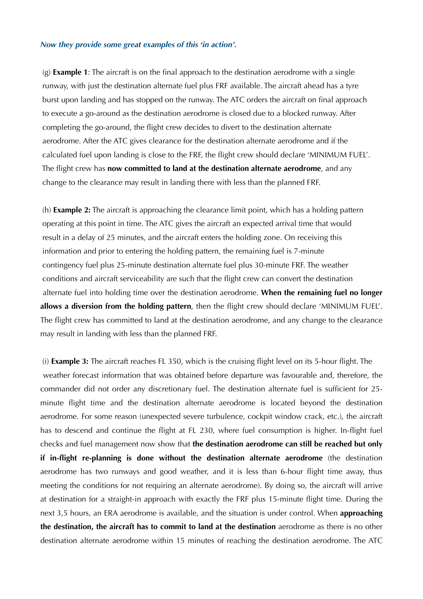## *Now they provide some great examples of this 'in action'.*

 (g) **Example 1**: The aircraft is on the final approach to the destination aerodrome with a single runway, with just the destination alternate fuel plus FRF available. The aircraft ahead has a tyre burst upon landing and has stopped on the runway. The ATC orders the aircraft on final approach to execute a go-around as the destination aerodrome is closed due to a blocked runway. After completing the go-around, the flight crew decides to divert to the destination alternate aerodrome. After the ATC gives clearance for the destination alternate aerodrome and if the calculated fuel upon landing is close to the FRF, the flight crew should declare 'MINIMUM FUEL'. The flight crew has **now committed to land at the destination alternate aerodrome**, and any change to the clearance may result in landing there with less than the planned FRF.

 (h) **Example 2:** The aircraft is approaching the clearance limit point, which has a holding pattern operating at this point in time. The ATC gives the aircraft an expected arrival time that would result in a delay of 25 minutes, and the aircraft enters the holding zone. On receiving this information and prior to entering the holding pattern, the remaining fuel is 7-minute contingency fuel plus 25-minute destination alternate fuel plus 30-minute FRF. The weather conditions and aircraft serviceability are such that the flight crew can convert the destination alternate fuel into holding time over the destination aerodrome. **When the remaining fuel no longer allows a diversion from the holding pattern**, then the flight crew should declare 'MINIMUM FUEL'. The flight crew has committed to land at the destination aerodrome, and any change to the clearance may result in landing with less than the planned FRF.

 (i) **Example 3:** The aircraft reaches FL 350, which is the cruising flight level on its 5-hour flight. The weather forecast information that was obtained before departure was favourable and, therefore, the commander did not order any discretionary fuel. The destination alternate fuel is sufficient for 25 minute flight time and the destination alternate aerodrome is located beyond the destination aerodrome. For some reason (unexpected severe turbulence, cockpit window crack, etc.), the aircraft has to descend and continue the flight at FL 230, where fuel consumption is higher. In-flight fuel checks and fuel management now show that **the destination aerodrome can still be reached but only if in-flight re-planning is done without the destination alternate aerodrome** (the destination aerodrome has two runways and good weather, and it is less than 6-hour flight time away, thus meeting the conditions for not requiring an alternate aerodrome). By doing so, the aircraft will arrive at destination for a straight-in approach with exactly the FRF plus 15-minute flight time. During the next 3,5 hours, an ERA aerodrome is available, and the situation is under control. When **approaching the destination, the aircraft has to commit to land at the destination** aerodrome as there is no other destination alternate aerodrome within 15 minutes of reaching the destination aerodrome. The ATC